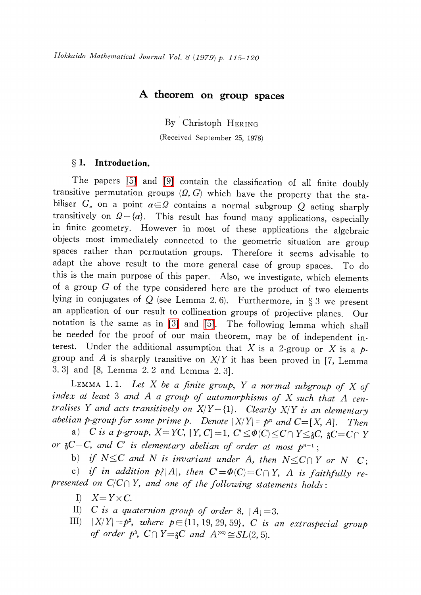## A theorem on group spaces

By Christoph HERING

(Received September 25, 1978)

### $\S 1.$  Introduction.

The papers [\[5\]](#page-5-0) and [\[9\]](#page-5-1) contain the classification of all finite doubly transitive permutation groups  $(\Omega, G)$  which have the property that the stabiliser  $G_{\alpha}$  on a point  $\alpha\in\Omega$  contains a normal subgroup Q acting sharply transitively on  $\Omega - {\alpha}$ . This result has found many applications, especially in finite geometry. However in most of these applications the algebraic objects most immediately connected to the geometric situation are group spaces rather than permutation groups. Therefore it seems advisable to adapt the above result to the more general case of group spaces. To do this is the main purpose of this paper. Also, we investigate, which elements of a group  $G$  of the type considered here are the product of two elements lying in conjugates of  $Q$  (see Lemma 2.6). Furthermore, in  $\S 3$  we present an application of our result to collineation groups of projective planes. Our notation is the same as in [\[3\]](#page-4-0) and [\[5\].](#page-5-0) The following lemma which shall be needed for the proof of our main theorem, may be of independent interest. Under the additional assumption that X is a 2-group or X is a  $p$ group and A is sharply transitive on  $X/Y$  it has been proved in [7, Lemma 3. 3] and [8, Lemma 2. 2 and Lemma 2. 3].

LEMMA 1.1. Let  $X$  be a finite group,  $Y$  a normal subgroup of  $X$  of index at least  $3$  and  $A$  a group of automorphisms of  $X$  such that  $A$  centralises Y and acts transitively on  $X/Y - \{1\}$ . Clearly  $X/Y$  is an elementary abelian p-group for some prime p. Denote  $|X/Y| = p^{n}$  and  $C=[X, A]$ . Then

a) C is a p-group,  $X=YC$ ,  $[Y, C]=1$ ,  $C' \leq \Phi(C) \leq C\cap Y \leq \delta C, \delta C=C\cap Y$ or  $\S C=C$ , and C' is elementary abelian of order at most  $p^{n-1}$ ;

b) if  $N \leq C$  and N is invariant under A, then  $N \leq C\cap Y$  or  $N=C$ ;

c) if in addition  $p/|A|$ , then  $C' = \Phi(C) = C\cap Y$ , A is faithfully represented on  $C/C\cap Y$ , and one of the following statements holds:

- I)  $X=Y\times C$ .
- II) C is a quaternion group of order 8,  $|A|=3$ .<br>III)  $|X/Y|=p^2$ , where  $p\in\{11, 19, 29, 59\}$  C is a
- $|X/Y| = p^{2}$ , where  $p \in \{11, 19, 29, 59\}$ , C is an extraspecial group of order  $p^{3}$ ,  $C\cap Y=$   $C$  and  $A^{\text{\tiny (}\infty\text{\tiny )}}\!\cong\!SL(2,5)$ .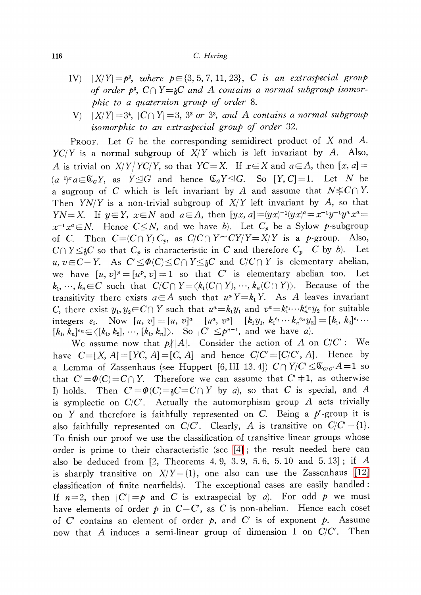#### 116 C. Hering

- IV)  $|X/Y| = p^{2}$ , where  $p \in \{3, 5, 7, 11, 23\}$ , C is an extraspecial group of order  $p^{3}$ ,  $C\cap Y=\n\infty$  and A contains a normal subgroup isomor--phic to <sup>a</sup> quaternion group of order 8.
- $V$   $|X/Y| = 3^{4}$ ,  $|C \cap Y| = 3$ ,  $3^{2}$  or  $3^{3}$ , and A contains a normal subgroup isomorphic to an extraspecial group of order 32.

PROOF. Let G be the corresponding semidirect product of X and A.  $YC/Y$  is a normal subgroup of  $X/Y$  which is left invariant by A. Also, A is trivial on  $X/Y/YC/Y$ , so that  $YC=X$ . If  $x\in X$  and  $a\in A$ , then  $[x, a]=$  $(a^{-1})^{x}a\in \mathfrak{C}_{G} Y,$  as  $Y\trianglelefteq G$  and hence  $\mathfrak{C}_{G}Y\trianglelefteq G$ . So  $[Y, C]=1$ . Let N be a sugroup of C which is left invariant by A and assume that  $N \leq C \cap Y$ . Then  $YN/Y$  is a non-trivial subgroup of  $X/Y$  left invariant by A, so that YN=X. If  $y\in Y$ ,  $x\in N$  and  $a\in A$ , then  $[yx, a]=(yx)^{-1}(yx)^{a}=x^{-1}y^{-1}y^{a}x^{a}=x^{a}$  $x^{-1}x^{a} \in N$ . Hence  $C \leq N$ , and we have b). Let  $C_{p}$  be a Sylow p-subgroup of C. Then  $C=(C\cap Y)C_{p}$ , as  $C/C\cap Y\cong CY/Y=X/Y$  is a p-group. Also,  $C\cap Y\leq C$  so that  $C_{p}$  is characteristic in C and therefore  $C_{p}=C$  by b). Let u,  $v\in C-Y$ . As  $C'\leq\Phi(C)\leq C\cap Y\leq E X$  and  $C/C\cap Y$  is elementary abelian, we have  $[u, v]^{p}=[u^{p}, v]=1$  so that C' is elementary abelian too. Let  $k_{1}, \, \cdots, \, k_{n} \! \in \! C$  such that  $C/C\cap Y\! =\! \langle k_{1}(C\cap Y), \, \cdots, \, k_{n}(C\cap Y)\rangle .$  Because of the transitivity there exists  $a\in A$  such that  $u^{a}Y=k_{1}Y$ . As A leaves invariant C, there exist  $y_{1} ,y_{2}\in C\cap Y$  such that  $u^{a}=k_{1}y_{1}$  and  $v^{a}=k_{1}^{e_{1}}\cdots k_{n}^{e_{n}}y_{2}$  for suitable integers  $e_{i}$ . Now  $[u, v]=[u, v]^{a}=[u^{a}, v^{a}]=[k_{1}y_{1}, k_{1}^{e_{1}}\cdots k_{n}^{e_{n}}y_{2}]=[k_{1}, k_{2}]^{e_{2}}\cdots$  $[k_{1}, k_{n}]^{e_{n}} \in \langle [k_{1}, k_{2}], \cdots, [k_{1}, k_{n}] \rangle.$  So  $|C'| \leq p^{n-1}$ , and we have a).

We assume now that  $p/|A|$ . Consider the action of A on  $C/C'$  : We have  $C=[X, A]=[YC, A]=[C, A]$  and hence  $C/C'=[C/C', A]$ . Hence by a Lemma of Zassenhaus (see Huppert [6, III 13.4])  $C\cap Y/C'\leq \mathfrak{C}_{C/C'}A=1$  so that  $C' \!=\! \varPhi(C) \!=\! C\cap Y.$  Therefore we can assume that  $C'\!\,\neq\! 1,$  as otherwise I) holds. Then  $C'=\Phi(C)=\frac{1}{2}C=C\cap Y$  by a), so that C is special, and A is symplectic on  $C/C'$ . Actually the automorphism group A acts trivially on Y and therefore is faithfully represented on C. Being a  $p'$ -group it is also faithfully represented on  $C/C'$ . Clearly, A is transitive on  $C/C'-\{1\}$ . To finish our proof we use the classification of transitive linear groups whose order is prime to their characteristic (see [\[4\]](#page-5-2) ; the result needed here can also be deduced from  $[2,$  Theorems 4.9, 3.9, 5.6, 5.10 and 5.13]; if A is sharply transitive on  $X/Y - \{1\}$ , one also can use the Zassenhaus [\[12\]](#page-5-3) classification of finite nearfields). The exceptional cases are easily handled: If  $n=2$ , then  $|C'|=p$  and C is extraspecial by a). For odd p we must have elements of order  $p$  in  $C-C'$ , as C is non-abelian. Hence each coset of  $C'$  contains an element of order  $p$ , and  $C'$  is of exponent  $p$ . Assume now that A induces a semi-linear group of dimension 1 on  $C/C'$ . Then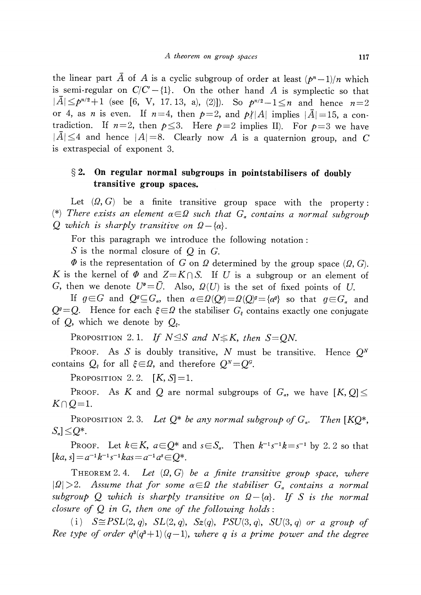the linear part  $\overline{A}$  of A is a cyclic subgroup of order at least  $(p^{n}-1)/n$  which is semi-regular on  $C/C'-\{1\}$ . On the other hand A is symplectic so that  $|\overline{A}|\leq p^{n/2}+1$  (see [6, V, 17. 13, a), (2)]). So  $p^{n/2}-1\leq n$  and hence  $n=2$ or 4, as *n* is even. If  $n=4$ , then  $p=2$ , and  $p/|A|$  implies  $|\overline{A}|=15$ , a contradiction. If  $n=2$ , then  $p\leq 3$ . Here  $p=2$  implies II). For  $p=3$  we have  $|\overline{A}|\leq 4$  and hence  $|A|=8$ . Clearly now A is a quaternion group, and C is extraspecial of exponent 3.

# $\S 2.$  On regular normal subgroups in pointstabilisers of doubly transitive group spaces.

Let  $(\Omega, G)$  be a finite transitive group space with the property : (\*) There exists an element  $\alpha\in\Omega$  such that  $G_{\alpha}$  contains a normal subgroup  $Q$  which is sharply transitive on  $\Omega-\{\alpha\}.$ 

For this paragraph we introduce the following notation:

 $S$  is the normal closure of  $Q$  in  $G$ .

 $\Phi$  is the representation of G on  $\Omega$  determined by the group space ( $\Omega, G$ ). K is the kernel of  $\Phi$  and  $Z=K\cap S$ . If U is a subgroup or an element of G, then we denote  $U^{\!\bullet}=\bar{U}$ . Also,  $\varOmega (U)$  is the set of fixed points of  $U$ .

If  $g\!\in\! G$  and  $Q^{g}\!\subseteq\!G_{a}$ , then  $\alpha\!\in\!\varOmega(Q^{g})\!=\!\varOmega(Q)^{g}\!=\!\{\alpha^{g}\}$  so that  $g\!\in\!G_{a}$  and  $Q^{g}=Q$ . Hence for each  $\xi\in\Omega$  the stabiliser  $G_{\xi}$  contains exactly one conjugate of Q, which we denote by  $Q_{\varepsilon}$ .

Proposition 2.1. If  $N \trianglelefteq S$  and  $N \leq K$ , then  $S = QN$ .

PROOF. As S is doubly transitive, N must be transitive. Hence  $Q^{N}$ contains  $Q_{\varepsilon}$  for all  $\xi\!\in\!\varOmega$ , and therefore  $Q^{\scriptscriptstyle N}\!\!=\!Q^{\scriptscriptstyle G} .$ 

PROPOSITION 2.2.  $[K, S] = 1$ .

Proof. As  $K$  and  $Q$  are normal subgroups of  $G_{\scriptscriptstyle \alpha}$ , we have  $[K, Q]$   $\leq$  $K\cap Q=1$ .

<span id="page-2-0"></span>Proposition 2.3. Let  $Q^{*}$  be any normal subgroup of  $G_{\alpha}$ . Then [KQ\*,  $S_{\alpha}]\leq Q^{*}.$ 

Proof. Let  $k{\in} K$ ,  $a{\in} Q^{*}$  and  $s{\in} S_{\alpha}$ . Then  $k^{-1}s^{-1}k\!=\!s^{-1}$  by 2. 2 so that  $[ka, s]=a^{-1}k^{-1}s^{-1}kas=a^{-1}a^{s}\in Q^{*}$ .

<span id="page-2-1"></span>THEOREM 2.4. Let  $(\Omega, G)$  be a finite transitive group space, where  $|\Omega|>2$ . Assume that for some  $\alpha\in\Omega$  the stabiliser  $G_{\alpha}$  contains a normal subgroup  $Q$  which is sharply transitive on  $\varOmega-\{\alpha\}.$  If  $S$  is the normal closure of  $Q$  in  $G$ , then one of the following holds:

(i)  $S\cong PSL(2, q)$ ,  $SL(2, q)$ ,  $Sz(q)$ ,  $PSU(3, q)$ ,  $SU(3, q)$  or a group of Ree type of order  $q^{3}(q^{3}+1)(q-1)$ , where q is a prime power and the degree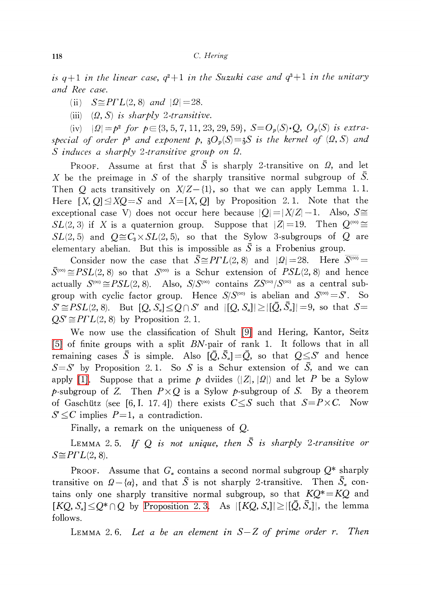118 C. Hering

is  $q+1$  in the linear case,  $q^{2}+1$  in the Suzuki case and  $q^{3}+1$  in the unitary and Ree case.

(ii)  $S\cong P\Gamma L(2,8)$  and  $|\Omega|=28$ .

(iii)  $(\Omega, S)$  is sharply 2-transitive.

(iv)  $|\Omega|=p^{2}$  for  $p\in\{3,5,7,11,23,29, 59\}$ ,  $S=O_{p}(S)\cdot Q$ ,  $O_{p}(S)$  is extraspecial of order  $p^{3}$  and exponent p,  $\partial_{p}(S)=\partial_{p}(S)$  is the kernel of  $(\Omega, S)$  and  $S$  induces a sharply 2-transitive group on  $\Omega$ .

Proof. Assume at first that  $\overline{S}$  is sharply 2-transitive on  $\varOmega,$  and let X be the preimage in S of the sharply transitive normal subgroup of S. Then O acts transitively on  $X/Z-\{1\}$ , so that we can apply Lemma 1.1. Here  $[X, Q] \trianglelefteq XQ = S$  and  $X=[X, Q]$  by Proposition 2.1. Note that the exceptional case V) does not occur here because  $|Q|=|X/Z|-1$ . Also,  $S\cong$  $SL(2,3)$  if X is a quaternion group. Suppose that  $|Z|=19$ . Then  $Q^{(\infty)}\cong$  $SL(2,5)$  and  $O\cong C_{3}\times SL(2,5)$ , so that the Sylow 3-subgroups of Q are elementary abelian. But this is impossible as  $\overline{S}$  is a Frobenius group.

Consider now the case that  $\overline{S} \cong P\Gamma L(2,8)$  and  $|\Omega|=28$ . Here  $\overline{S^{(\infty)}}=$  $\overline{S}^{(\infty)}\cong PSL(2,8)$  so that  $S^{(\infty)}$  is a Schur extension of  $PSL(2,8)$  and hence actually  $S^{(\infty)}\cong PSL(2,8)$ . Also,  $S/S^{(\infty)}$  contains  $ZS^{(\infty)}/S^{(\infty)}$  as a central subgroup with cyclic factor group. Hence  $S/S^{(\infty)}$  is abelian and  $S^{(\infty)}=S'$ . So  $S'\!\cong\! PSL(2, 8)$ . But  $[Q, S_{\scriptscriptstyle \alpha}] \!\leq\! Q\cap S'$  and  $|[Q, S_{\scriptscriptstyle \alpha}]|\!\geq\! |[\bar{Q},\bar{S}_{\scriptscriptstyle \alpha}]|=9,$  so that  $S=$  $QS' \cong P\Gamma L(2,8)$  by Proposition 2. 1.

We now use the classification of Shult [\[9\]](#page-5-1) and Hering, Kantor, Seitz [\[5\]](#page-5-0) of finite groups with a split  $BN$ -pair of rank 1. It follows that in all remaining cases  $\overline{S}$  is simple. Also  $[\overline{Q},\overline{S}_{\alpha}]=\overline{Q}$ , so that  $Q\leq S'$  and hence  $S=S'$  by Proposition 2.1. So S is a Schur extension of  $\overline{S}$ , and we can apply [\[1\].](#page-4-1) Suppose that a prime p dviides  $(|Z|, |Q|)$  and let P be a Sylow p-subgroup of Z. Then  $P\times Q$  is a Sylow p-subgroup of S. By a theorem of Gaschütz (see [6, I. 17. 4]) there exists  $C \leq S$  such that  $S=P\times C$ . Now  $S' \leq C$  implies  $P=1$ , a contradiction.

Finally, a remark on the uniqueness of Q.

LEMMA 2.5. If Q is not unique, then  $\overline{S}$  is sharply 2-transitive or  $S\cong P\Gamma L(2,8)$ .

PROOF. Assume that  $G_{\alpha}$  contains a second normal subgroup  $Q^{*}$  sharply transitive on  $\varOmega - \{\alpha\}$ , and that  $\bar{S}$  is not sharply 2-transitive. Then  $S_{\scriptscriptstyle{\alpha}}$  contains only one sharply transitive normal subgroup, so that  $KQ^{*}=KQ$  and  $[KQ, S_{\scriptscriptstyle \rm s}] \!\leq\! Q^{*}\cap Q$  by [Proposition](#page-2-0) 2.3. As  $|[KQ, S_{\scriptscriptstyle \rm s}]|\!\geq\!|[\bar{Q},\bar{S}_{\scriptscriptstyle \rm s}]|,$  the lemma follows.

LEMMA 2.6. Let a be an element in  $S-Z$  of prime order r. Then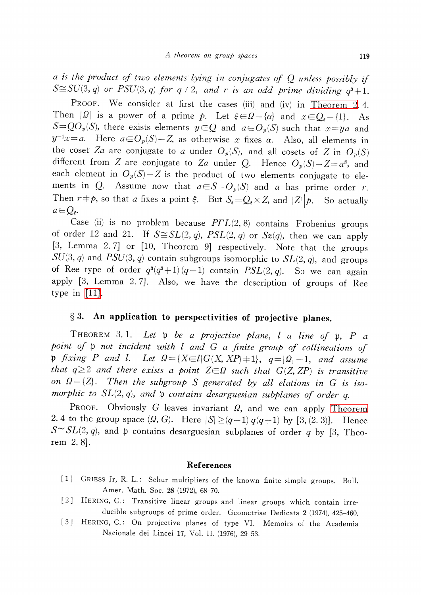a is the product of two elements lying in conjugates of  $Q$  unless possibly if  $S\cong SU(3, q)$  or PSU(3, q) for  $q\neq 2$ , and r is an odd prime dividing  $q^{3}+1$ .

PROOF. We consider at first the cases (iii) and (iv) in [Theorem](#page-2-1) 2.4. Then  $|\Omega|$  is a power of a prime p. Let  $\xi\in\Omega-\{\alpha\}$  and  $x\in Q_{\xi}-\{1\}$ . As  $S=QQ_{p}(S)$ , there exists elements  $y\in Q$  and  $a\in O_{p}(S)$  such that  $x=ya$  and  $y^{-1}x=a$ . Here  $a{\in}O_{p}(S)-Z$ , as otherwise x fixes  $\alpha$ . Also, all elements in the coset Za are conjugate to a under  $O_{p}(S)$ , and all cosets of Z in  $O_{p}(S)$ different from Z are conjugate to Za under Q. Hence  $O_p(S)-Z=a^{S}$ , and each element in  $O_{p}(S)-Z$  is the product of two elements conjugate to elements in Q. Assume now that  $a\in S-O_{p}(S)$  and a has prime order r. Then  $r \neq p$ , so that a fixes a point  $\xi$ . But  $S_{\xi}=Q_{\xi}\times Z$ , and  $|Z||p$ . So actually  $a{\in}Q_{\varepsilon}$ .

Case (ii) is no problem because  $P\Gamma L(2,8)$  contains Frobenius groups of order 12 and 21. If  $S \cong SL(2, q)$ ,  $PSL(2, q)$  or  $Sz(q)$ , then we can apply [3, Lemma 2. 7] or [10, Theorem 9] respectively. Note that the groups  $SU(3, q)$  and  $PSU(3, q)$  contain subgroups isomorphic to  $SL(2, q)$ , and groups of Ree type of order  $q^{3}(q^{3}+1) (q-1)$  contain  $PSL(2, q)$ . So we can again apply [3, Lemma 2. 7]. Also, we have the description of groups of Ree type in [\[11\].](#page-5-4)

### $\S 3.$  An application to perspectivities of projective planes.

THEOREM 3.1. Let  $\mathfrak{p}$  be a projective plane, l a line of  $\mathfrak{p}$ , P a point of  $\mathfrak{p}$  not incident with  $l$  and  $G$  a finite group of collineations of  $\mathfrak{p}$  fixing P and l. Let  $\Omega=\{X\in l|G(X, XP)\neq 1\}$ ,  $q=|\Omega|-1$ , and assume that  $q\geq 2$  and there exists a point  $Z\in\Omega$  such that  $G(Z, ZP)$  is transitive on  $\Omega-\{Z\}$ . Then the subgroup S generated by all elations in G is isomorphic to  $SL(2, q)$ , and  $\mathfrak{p}$  contains desarguesian subplanes of order q.

Proof. Obviously G leaves invariant  $\varOmega$ , and we can apply [Theorem](#page-2-1) 2. 4 to the group space  $(\Omega, G)$ . Here  $|S|\geq(q-1)q(q+1)$  by [3, (2. 3)]. Hence  $S\cong SL(2, q)$ , and  $\mathfrak{p}$  contains desarguesian subplanes of order q by [3, Theorem 2. 8].

#### References

- <span id="page-4-1"></span>[1] GRIESS Jr, R. L.: Schur multipliers of the known finite simple groups. Bull. Amer. Math. Soc. 28 (1972), 68-70.
- [2] HERING, C.: Transitive linear groups and linear groups which contain irreducible subgroups of prime order. Geometriae Dedicata <sup>2</sup> (1974), 425-460.
- <span id="page-4-0"></span>[3] HERING, C.: On projective planes of type VI. Memoirs of the Academia Nacionale dei Lincei 17, Vol. II. (1976), 29-53.